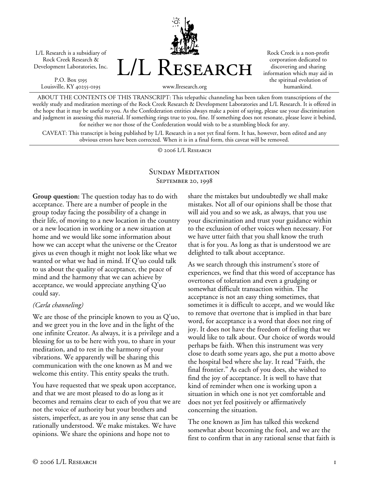L/L Research is a subsidiary of Rock Creek Research & Development Laboratories, Inc.

P.O. Box 5195 Louisville, KY 40255-0195



Rock Creek is a non-profit corporation dedicated to discovering and sharing information which may aid in the spiritual evolution of humankind.

www.llresearch.org

ABOUT THE CONTENTS OF THIS TRANSCRIPT: This telepathic channeling has been taken from transcriptions of the weekly study and meditation meetings of the Rock Creek Research & Development Laboratories and L/L Research. It is offered in the hope that it may be useful to you. As the Confederation entities always make a point of saying, please use your discrimination and judgment in assessing this material. If something rings true to you, fine. If something does not resonate, please leave it behind, for neither we nor those of the Confederation would wish to be a stumbling block for any.

CAVEAT: This transcript is being published by L/L Research in a not yet final form. It has, however, been edited and any obvious errors have been corrected. When it is in a final form, this caveat will be removed.

© 2006 L/L Research

# SUNDAY MEDITATION September 20, 1998

**Group question:** The question today has to do with acceptance. There are a number of people in the group today facing the possibility of a change in their life, of moving to a new location in the country or a new location in working or a new situation at home and we would like some information about how we can accept what the universe or the Creator gives us even though it might not look like what we wanted or what we had in mind. If Q'uo could talk to us about the quality of acceptance, the peace of mind and the harmony that we can achieve by acceptance, we would appreciate anything Q'uo could say.

### *(Carla channeling)*

We are those of the principle known to you as Q'uo, and we greet you in the love and in the light of the one infinite Creator. As always, it is a privilege and a blessing for us to be here with you, to share in your meditation, and to rest in the harmony of your vibrations. We apparently will be sharing this communication with the one known as M and we welcome this entity. This entity speaks the truth.

You have requested that we speak upon acceptance, and that we are most pleased to do as long as it becomes and remains clear to each of you that we are not the voice of authority but your brothers and sisters, imperfect, as are you in any sense that can be rationally understood. We make mistakes. We have opinions. We share the opinions and hope not to

share the mistakes but undoubtedly we shall make mistakes. Not all of our opinions shall be those that will aid you and so we ask, as always, that you use your discrimination and trust your guidance within to the exclusion of other voices when necessary. For we have utter faith that you shall know the truth that is for you. As long as that is understood we are delighted to talk about acceptance.

As we search through this instrument's store of experiences, we find that this word of acceptance has overtones of toleration and even a grudging or somewhat difficult transaction within. The acceptance is not an easy thing sometimes, that sometimes it is difficult to accept, and we would like to remove that overtone that is implied in that bare word, for acceptance is a word that does not ring of joy. It does not have the freedom of feeling that we would like to talk about. Our choice of words would perhaps be faith. When this instrument was very close to death some years ago, she put a motto above the hospital bed where she lay. It read "Faith, the final frontier." As each of you does, she wished to find the joy of acceptance. It is well to have that kind of reminder when one is working upon a situation in which one is not yet comfortable and does not yet feel positively or affirmatively concerning the situation.

The one known as Jim has talked this weekend somewhat about becoming the fool, and we are the first to confirm that in any rational sense that faith is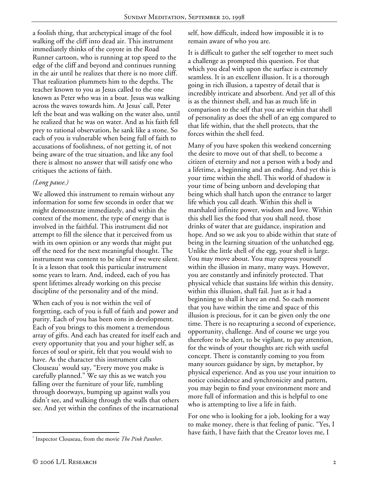a foolish thing, that archetypical image of the fool walking off the cliff into dead air. This instrument immediately thinks of the coyote in the Road Runner cartoon, who is running at top speed to the edge of the cliff and beyond and continues running in the air until he realizes that there is no more cliff. That realization plummets him to the depths. The teacher known to you as Jesus called to the one known as Peter who was in a boat. Jesus was walking across the waves towards him. At Jesus' call, Peter left the boat and was walking on the water also, until he realized that he was on water. And as his faith fell prey to rational observation, he sank like a stone. So each of you is vulnerable when being full of faith to accusations of foolishness, of not getting it, of not being aware of the true situation, and like any fool there is almost no answer that will satisfy one who critiques the actions of faith.

## *(Long pause.)*

We allowed this instrument to remain without any information for some few seconds in order that we might demonstrate immediately, and within the context of the moment, the type of energy that is involved in the faithful. This instrument did not attempt to fill the silence that it perceived from us with its own opinion or any words that might put off the need for the next meaningful thought. The instrument was content to be silent if we were silent. It is a lesson that took this particular instrument some years to learn. And, indeed, each of you has spent lifetimes already working on this precise discipline of the personality and of the mind.

When each of you is not within the veil of forgetting, each of you is full of faith and power and purity. Each of you has been eons in development. Each of you brings to this moment a tremendous array of gifts. And each has created for itself each and every opportunity that you and your higher self, as forces of soul or spirit, felt that you would wish to have. As the character this instrument calls Clouseau<sup>1</sup> would say, "Every move you make is carefully planned." We say this as we watch you falling over the furniture of your life, tumbling through doorways, bumping up against walls you didn't see, and walking through the walls that others see. And yet within the confines of the incarnational

self, how difficult, indeed how impossible it is to remain aware of who you are.

It is difficult to gather the self together to meet such a challenge as prompted this question. For that which you deal with upon the surface is extremely seamless. It is an excellent illusion. It is a thorough going in rich illusion, a tapestry of detail that is incredibly intricate and absorbent. And yet all of this is as the thinnest shell, and has as much life in comparison to the self that you are within that shell of personality as does the shell of an egg compared to that life within, that the shell protects, that the forces within the shell feed.

Many of you have spoken this weekend concerning the desire to move out of that shell, to become a citizen of eternity and not a person with a body and a lifetime, a beginning and an ending. And yet this is your time within the shell. This world of shadow is your time of being unborn and developing that being which shall hatch upon the entrance to larger life which you call death. Within this shell is marshaled infinite power, wisdom and love. Within this shell lies the food that you shall need, those drinks of water that are guidance, inspiration and hope. And so we ask you to abide within that state of being in the learning situation of the unhatched egg. Unlike the little shell of the egg, your shell is large. You may move about. You may express yourself within the illusion in many, many ways. However, you are constantly and infinitely protected. That physical vehicle that sustains life within this density, within this illusion, shall fail. Just as it had a beginning so shall it have an end. So each moment that you have within the time and space of this illusion is precious, for it can be given only the one time. There is no recapturing a second of experience, opportunity, challenge. And of course we urge you therefore to be alert, to be vigilant, to pay attention, for the winds of your thoughts are rich with useful concept. There is constantly coming to you from many sources guidance by sign, by metaphor, by physical experience. And as you use your intuition to notice coincidence and synchronicity and pattern, you may begin to find your environment more and more full of information and this is helpful to one who is attempting to live a life in faith.

For one who is looking for a job, looking for a way to make money, there is that feeling of panic. "Yes, I have faith, I have faith that the Creator loves me, I

 $\overline{a}$ <sup>1</sup> Inspector Clouseau, from the movie *The Pink Panther*.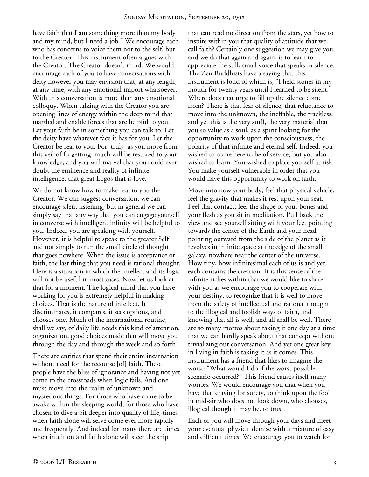have faith that I am something more than my body and my mind, but I need a job." We encourage each who has concerns to voice them not to the self, but to the Creator. This instrument often argues with the Creator. The Creator doesn't mind. We would encourage each of you to have conversations with deity however you may envision that, at any length, at any time, with any emotional import whatsoever. With this conversation is more than any emotional colloquy. When talking with the Creator you are opening lines of energy within the deep mind that marshal and enable forces that are helpful to you. Let your faith be in something you can talk to. Let the deity have whatever face it has for you. Let the Creator be real to you. For, truly, as you move from this veil of forgetting, much will be restored to your knowledge, and you will marvel that you could ever doubt the eminence and reality of infinite intelligence, that great Logos that is love.

We do not know how to make real to you the Creator. We can suggest conversation, we can encourage silent listening, but in general we can simply say that any way that you can engage yourself in converse with intelligent infinity will be helpful to you. Indeed, you are speaking with yourself. However, it is helpful to speak to the greater Self and not simply to run the small circle of thought that goes nowhere. When the issue is acceptance or faith, the last thing that you need is rational thought. Here is a situation in which the intellect and its logic will not be useful in most cases. Now let us look at that for a moment. The logical mind that you have working for you is extremely helpful in making choices. That is the nature of intellect. It discriminates, it compares, it sees options, and chooses one. Much of the incarnational routine, shall we say, of daily life needs this kind of attention, organization, good choices made that will move you through the day and through the week and so forth.

There are entities that spend their entire incarnation without need for the recourse [of] faith. These people have the bliss of ignorance and having not yet come to the crossroads when logic fails. And one must move into the realm of unknown and mysterious things. For those who have come to be awake within the sleeping world, for those who have chosen to dive a bit deeper into quality of life, times when faith alone will serve come ever more rapidly and frequently. And indeed for many there are times when intuition and faith alone will steer the ship

that can read no direction from the stars, yet how to inspire within you that quality of attitude that we call faith? Certainly one suggestion we may give you, and we do that again and again, is to learn to appreciate the still, small voice that speaks in silence. The Zen Buddhists have a saying that this instrument is fond of which is, "I held stones in my mouth for twenty years until I learned to be silent." Where does that urge to fill up the silence come from? There is that fear of silence, that reluctance to move into the unknown, the ineffable, the trackless, and yet this is the very stuff, the very material that you so value as a soul, as a spirit looking for the opportunity to work upon the consciousness, the polarity of that infinite and eternal self. Indeed, you wished to come here to be of service, but you also wished to learn. You wished to place yourself at risk. You make yourself vulnerable in order that you would have this opportunity to work on faith.

Move into now your body, feel that physical vehicle, feel the gravity that makes it rest upon your seat. Feel that contact, feel the shape of your bones and your flesh as you sit in meditation. Pull back the view and see yourself sitting with your feet pointing towards the center of the Earth and your head pointing outward from the side of the planet as it revolves in infinite space at the edge of the small galaxy, nowhere near the center of the universe. How tiny, how infinitesimal each of us is and yet each contains the creation. It is this sense of the infinite riches within that we would like to share with you as we encourage you to cooperate with your destiny, to recognize that it is well to move from the safety of intellectual and rational thought to the illogical and foolish ways of faith, and knowing that all is well, and all shall be well. There are so many mottos about taking it one day at a time that we can hardly speak about that concept without trivializing our conversation. And yet one great key in living in faith is taking it as it comes. This instrument has a friend that likes to imagine the worst: "What would I do if the worst possible scenario occurred?" This friend causes itself many worries. We would encourage you that when you have that craving for surety, to think upon the fool in mid-air who does not look down, who chooses, illogical though it may be, to trust.

Each of you will move through your days and meet your eventual physical demise with a mixture of easy and difficult times. We encourage you to watch for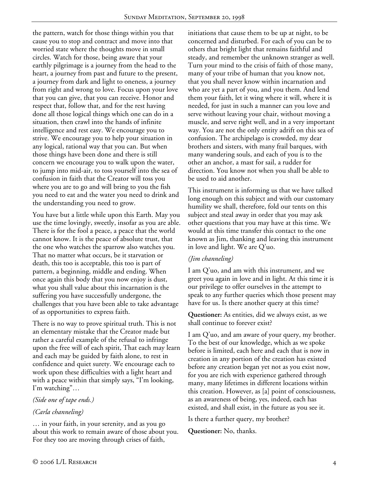the pattern, watch for those things within you that cause you to stop and contract and move into that worried state where the thoughts move in small circles. Watch for those, being aware that your earthly pilgrimage is a journey from the head to the heart, a journey from past and future to the present, a journey from dark and light to oneness, a journey from right and wrong to love. Focus upon your love that you can give, that you can receive. Honor and respect that, follow that, and for the rest having done all those logical things which one can do in a situation, then crawl into the hands of infinite intelligence and rest easy. We encourage you to strive. We encourage you to help your situation in any logical, rational way that you can. But when those things have been done and there is still concern we encourage you to walk upon the water, to jump into mid-air, to toss yourself into the sea of confusion in faith that the Creator will toss you where you are to go and will bring to you the fish you need to eat and the water you need to drink and the understanding you need to grow.

You have but a little while upon this Earth. May you use the time lovingly, sweetly, insofar as you are able. There is for the fool a peace, a peace that the world cannot know. It is the peace of absolute trust, that the one who watches the sparrow also watches you. That no matter what occurs, be it starvation or death, this too is acceptable, this too is part of pattern, a beginning, middle and ending. When once again this body that you now enjoy is dust, what you shall value about this incarnation is the suffering you have successfully undergone, the challenges that you have been able to take advantage of as opportunities to express faith.

There is no way to prove spiritual truth. This is not an elementary mistake that the Creator made but rather a careful example of the refusal to infringe upon the free will of each spirit, That each may learn and each may be guided by faith alone, to rest in confidence and quiet surety. We encourage each to work upon these difficulties with a light heart and with a peace within that simply says, "I'm looking, I'm watching"…

### *(Side one of tape ends.)*

## *(Carla channeling)*

… in your faith, in your serenity, and as you go about this work to remain aware of those about you. For they too are moving through crises of faith,

initiations that cause them to be up at night, to be concerned and disturbed. For each of you can be to others that bright light that remains faithful and steady, and remember the unknown stranger as well. Turn your mind to the crisis of faith of those many, many of your tribe of human that you know not, that you shall never know within incarnation and who are yet a part of you, and you them. And lend them your faith, let it wing where it will, where it is needed, for just in such a manner can you love and serve without leaving your chair, without moving a muscle, and serve right well, and in a very important way. You are not the only entity adrift on this sea of confusion. The archipelago is crowded, my dear brothers and sisters, with many frail barques, with many wandering souls, and each of you is to the other an anchor, a mast for sail, a rudder for direction. You know not when you shall be able to be used to aid another.

This instrument is informing us that we have talked long enough on this subject and with our customary humility we shall, therefore, fold our tents on this subject and steal away in order that you may ask other questions that you may have at this time. We would at this time transfer this contact to the one known as Jim, thanking and leaving this instrument in love and light. We are Q'uo.

## *(Jim channeling)*

I am Q'uo, and am with this instrument, and we greet you again in love and in light. At this time it is our privilege to offer ourselves in the attempt to speak to any further queries which those present may have for us. Is there another query at this time?

**Questioner:** As entities, did we always exist, as we shall continue to forever exist?

I am Q'uo, and am aware of your query, my brother. To the best of our knowledge, which as we spoke before is limited, each here and each that is now in creation in any portion of the creation has existed before any creation began yet not as you exist now, for you are rich with experience gathered through many, many lifetimes in different locations within this creation. However, as [a] point of consciousness, as an awareness of being, yes, indeed, each has existed, and shall exist, in the future as you see it.

Is there a further query, my brother?

**Questioner:** No, thanks.